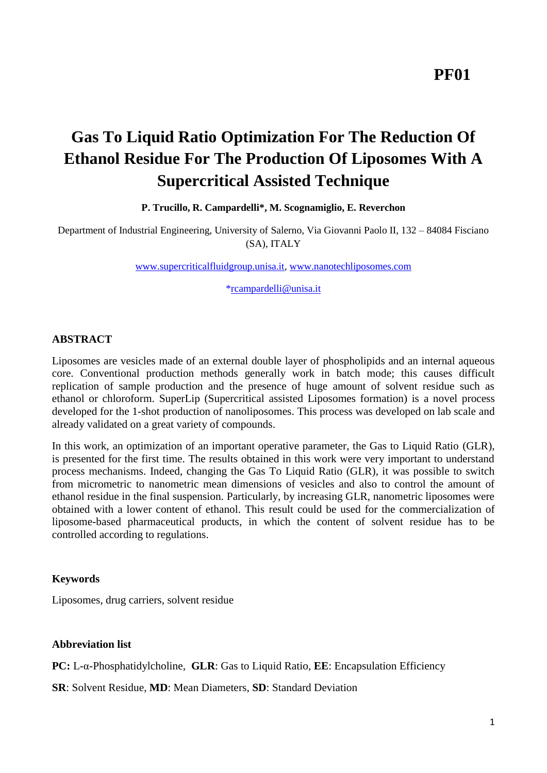# **Gas To Liquid Ratio Optimization For The Reduction Of Ethanol Residue For The Production Of Liposomes With A Supercritical Assisted Technique**

## **P. Trucillo, R. Campardelli\*, M. Scognamiglio, E. Reverchon**

Department of Industrial Engineering, University of Salerno, Via Giovanni Paolo II, 132 – 84084 Fisciano (SA), ITALY

[www.supercriticalfluidgroup.unisa.it,](http://www.supercriticalfluidgroup.unisa.it/) [www.nanotechliposomes.com](http://www.nanotechliposomes.com/)

[\\*rcampardelli@unisa.it](mailto:*rcampardelli@unisa.it)

## **ABSTRACT**

Liposomes are vesicles made of an external double layer of phospholipids and an internal aqueous core. Conventional production methods generally work in batch mode; this causes difficult replication of sample production and the presence of huge amount of solvent residue such as ethanol or chloroform. SuperLip (Supercritical assisted Liposomes formation) is a novel process developed for the 1-shot production of nanoliposomes. This process was developed on lab scale and already validated on a great variety of compounds.

In this work, an optimization of an important operative parameter, the Gas to Liquid Ratio (GLR), is presented for the first time. The results obtained in this work were very important to understand process mechanisms. Indeed, changing the Gas To Liquid Ratio (GLR), it was possible to switch from micrometric to nanometric mean dimensions of vesicles and also to control the amount of ethanol residue in the final suspension. Particularly, by increasing GLR, nanometric liposomes were obtained with a lower content of ethanol. This result could be used for the commercialization of liposome-based pharmaceutical products, in which the content of solvent residue has to be controlled according to regulations.

#### **Keywords**

Liposomes, drug carriers, solvent residue

## **Abbreviation list**

**PC:** L-α-Phosphatidylcholine, **GLR**: Gas to Liquid Ratio, **EE**: Encapsulation Efficiency

**SR**: Solvent Residue, **MD**: Mean Diameters, **SD**: Standard Deviation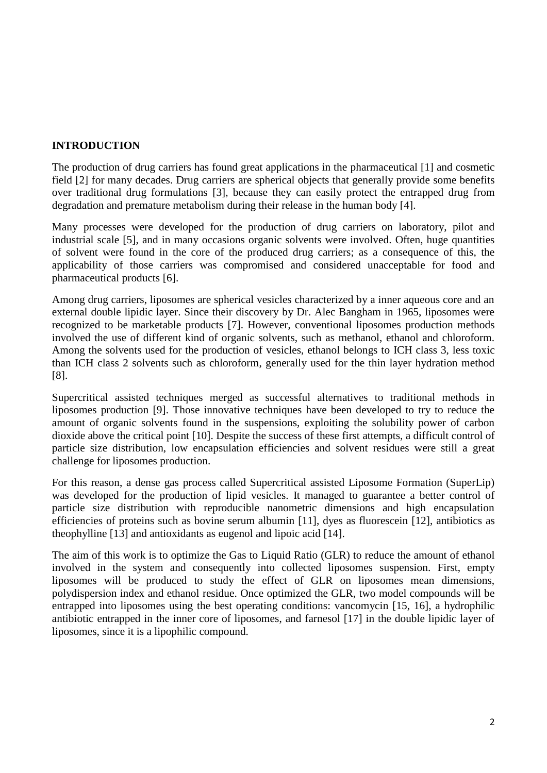# **INTRODUCTION**

The production of drug carriers has found great applications in the pharmaceutical [\[1\]](#page-6-0) and cosmetic field [\[2\]](#page-6-1) for many decades. Drug carriers are spherical objects that generally provide some benefits over traditional drug formulations [\[3\]](#page-6-2), because they can easily protect the entrapped drug from degradation and premature metabolism during their release in the human body [\[4\]](#page-6-3).

Many processes were developed for the production of drug carriers on laboratory, pilot and industrial scale [\[5\]](#page-6-4), and in many occasions organic solvents were involved. Often, huge quantities of solvent were found in the core of the produced drug carriers; as a consequence of this, the applicability of those carriers was compromised and considered unacceptable for food and pharmaceutical products [\[6\]](#page-6-5).

Among drug carriers, liposomes are spherical vesicles characterized by a inner aqueous core and an external double lipidic layer. Since their discovery by Dr. Alec Bangham in 1965, liposomes were recognized to be marketable products [\[7\]](#page-6-6). However, conventional liposomes production methods involved the use of different kind of organic solvents, such as methanol, ethanol and chloroform. Among the solvents used for the production of vesicles, ethanol belongs to ICH class 3, less toxic than ICH class 2 solvents such as chloroform, generally used for the thin layer hydration method [\[8\]](#page-6-7).

Supercritical assisted techniques merged as successful alternatives to traditional methods in liposomes production [\[9\]](#page-6-8). Those innovative techniques have been developed to try to reduce the amount of organic solvents found in the suspensions, exploiting the solubility power of carbon dioxide above the critical point [\[10\]](#page-6-9). Despite the success of these first attempts, a difficult control of particle size distribution, low encapsulation efficiencies and solvent residues were still a great challenge for liposomes production.

For this reason, a dense gas process called Supercritical assisted Liposome Formation (SuperLip) was developed for the production of lipid vesicles. It managed to guarantee a better control of particle size distribution with reproducible nanometric dimensions and high encapsulation efficiencies of proteins such as bovine serum albumin [\[11\]](#page-6-10), dyes as fluorescein [\[12\]](#page-7-0), antibiotics as theophylline [\[13\]](#page-7-1) and antioxidants as eugenol and lipoic acid [\[14\]](#page-7-2).

The aim of this work is to optimize the Gas to Liquid Ratio (GLR) to reduce the amount of ethanol involved in the system and consequently into collected liposomes suspension. First, empty liposomes will be produced to study the effect of GLR on liposomes mean dimensions, polydispersion index and ethanol residue. Once optimized the GLR, two model compounds will be entrapped into liposomes using the best operating conditions: vancomycin [\[15,](#page-7-3) [16\]](#page-7-4), a hydrophilic antibiotic entrapped in the inner core of liposomes, and farnesol [\[17\]](#page-7-5) in the double lipidic layer of liposomes, since it is a lipophilic compound.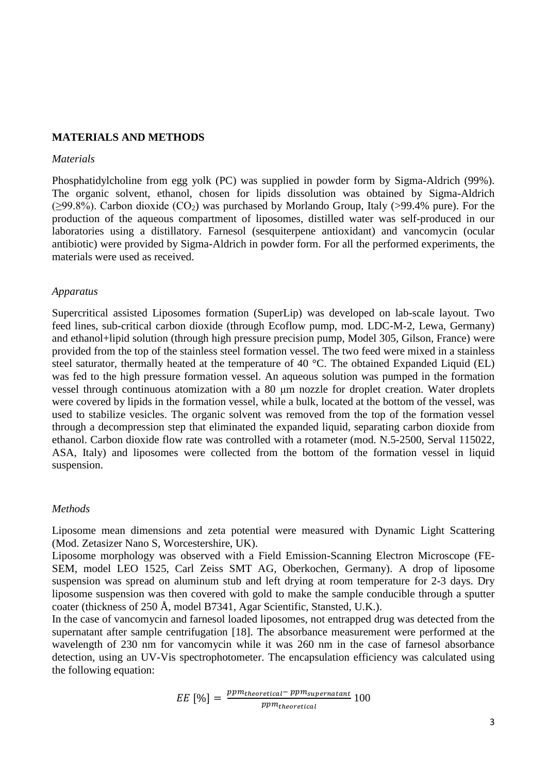#### **MATERIALS AND METHODS**

#### *Materials*

Phosphatidylcholine from egg yolk (PC) was supplied in powder form by Sigma-Aldrich (99%). The organic solvent, ethanol, chosen for lipids dissolution was obtained by Sigma-Aldrich  $(\geq 99.8\%)$ . Carbon dioxide (CO<sub>2</sub>) was purchased by Morlando Group, Italy (>99.4% pure). For the production of the aqueous compartment of liposomes, distilled water was self-produced in our laboratories using a distillatory. Farnesol (sesquiterpene antioxidant) and vancomycin (ocular antibiotic) were provided by Sigma-Aldrich in powder form. For all the performed experiments, the materials were used as received.

#### *Apparatus*

Supercritical assisted Liposomes formation (SuperLip) was developed on lab-scale layout. Two feed lines, sub-critical carbon dioxide (through Ecoflow pump, mod. LDC-M-2, Lewa, Germany) and ethanol+lipid solution (through high pressure precision pump, Model 305, Gilson, France) were provided from the top of the stainless steel formation vessel. The two feed were mixed in a stainless steel saturator, thermally heated at the temperature of 40 °C. The obtained Expanded Liquid (EL) was fed to the high pressure formation vessel. An aqueous solution was pumped in the formation vessel through continuous atomization with a 80 μm nozzle for droplet creation. Water droplets were covered by lipids in the formation vessel, while a bulk, located at the bottom of the vessel, was used to stabilize vesicles. The organic solvent was removed from the top of the formation vessel through a decompression step that eliminated the expanded liquid, separating carbon dioxide from ethanol. Carbon dioxide flow rate was controlled with a rotameter (mod. N.5-2500, Serval 115022, ASA, Italy) and liposomes were collected from the bottom of the formation vessel in liquid suspension.

#### *Methods*

Liposome mean dimensions and zeta potential were measured with Dynamic Light Scattering (Mod. Zetasizer Nano S, Worcestershire, UK).

Liposome morphology was observed with a Field Emission-Scanning Electron Microscope (FE-SEM, model LEO 1525, Carl Zeiss SMT AG, Oberkochen, Germany). A drop of liposome suspension was spread on aluminum stub and left drying at room temperature for 2-3 days. Dry liposome suspension was then covered with gold to make the sample conducible through a sputter coater (thickness of 250 Å, model B7341, Agar Scientific, Stansted, U.K.).

In the case of vancomycin and farnesol loaded liposomes, not entrapped drug was detected from the supernatant after sample centrifugation [\[18\]](#page-7-6). The absorbance measurement were performed at the wavelength of 230 nm for vancomycin while it was 260 nm in the case of farnesol absorbance detection, using an UV-Vis spectrophotometer. The encapsulation efficiency was calculated using the following equation:

$$
EE \, [\%] = \frac{ppm_{theoretical} - ppm_{supernatant}}{ppm_{theoretical}} \, 100
$$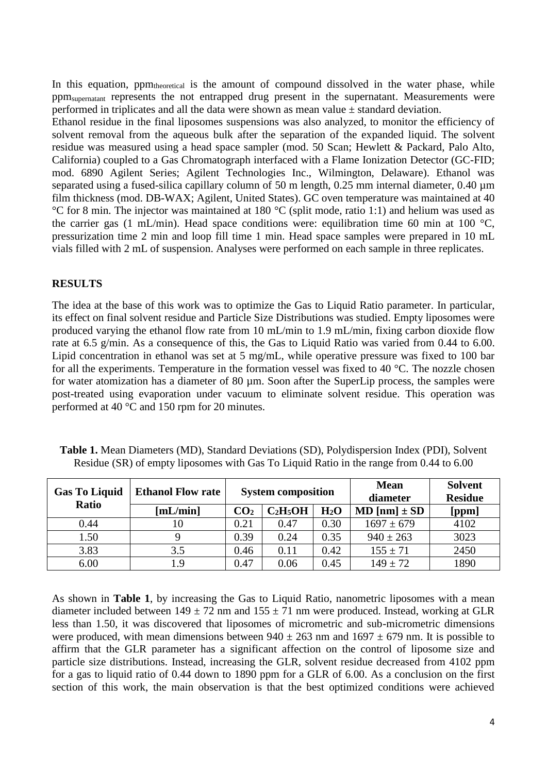In this equation, ppm<sub>theoretical</sub> is the amount of compound dissolved in the water phase, while ppmsupernatant represents the not entrapped drug present in the supernatant. Measurements were performed in triplicates and all the data were shown as mean value  $\pm$  standard deviation.

Ethanol residue in the final liposomes suspensions was also analyzed, to monitor the efficiency of solvent removal from the aqueous bulk after the separation of the expanded liquid. The solvent residue was measured using a head space sampler (mod. 50 Scan; Hewlett & Packard, Palo Alto, California) coupled to a Gas Chromatograph interfaced with a Flame Ionization Detector (GC-FID; mod. 6890 Agilent Series; Agilent Technologies Inc., Wilmington, Delaware). Ethanol was separated using a fused-silica capillary column of 50 m length, 0.25 mm internal diameter, 0.40  $\mu$ m film thickness (mod. DB-WAX; Agilent, United States). GC oven temperature was maintained at 40 °C for 8 min. The injector was maintained at 180 °C (split mode, ratio 1:1) and helium was used as the carrier gas (1 mL/min). Head space conditions were: equilibration time 60 min at 100  $^{\circ}$ C, pressurization time 2 min and loop fill time 1 min. Head space samples were prepared in 10 mL vials filled with 2 mL of suspension. Analyses were performed on each sample in three replicates.

## **RESULTS**

The idea at the base of this work was to optimize the Gas to Liquid Ratio parameter. In particular, its effect on final solvent residue and Particle Size Distributions was studied. Empty liposomes were produced varying the ethanol flow rate from 10 mL/min to 1.9 mL/min, fixing carbon dioxide flow rate at 6.5 g/min. As a consequence of this, the Gas to Liquid Ratio was varied from 0.44 to 6.00. Lipid concentration in ethanol was set at 5 mg/mL, while operative pressure was fixed to 100 bar for all the experiments. Temperature in the formation vessel was fixed to 40 °C. The nozzle chosen for water atomization has a diameter of 80 µm. Soon after the SuperLip process, the samples were post-treated using evaporation under vacuum to eliminate solvent residue. This operation was performed at 40 °C and 150 rpm for 20 minutes.

| <b>Gas To Liquid</b><br>Ratio | <b>Ethanol Flow rate</b> | <b>System composition</b> |            |                  | <b>Mean</b><br>diameter | <b>Solvent</b><br><b>Residue</b> |
|-------------------------------|--------------------------|---------------------------|------------|------------------|-------------------------|----------------------------------|
|                               | [mL/min]                 | CO <sub>2</sub>           | $C_2H_5OH$ | H <sub>2</sub> O | $MD [nm] \pm SD$        | [ppm]                            |
| 0.44                          |                          | 0.21                      | 0.47       | 0.30             | $1697 \pm 679$          | 4102                             |
| 1.50                          |                          | 0.39                      | 0.24       | 0.35             | $940 \pm 263$           | 3023                             |
| 3.83                          | 3.5                      | 0.46                      | 0.11       | 0.42             | $155 \pm 71$            | 2450                             |
| 6.00                          | - 9                      | 0.47                      | 0.06       | 0.45             | $149 \pm 72$            | 1890                             |

**Table 1.** Mean Diameters (MD), Standard Deviations (SD), Polydispersion Index (PDI), Solvent Residue (SR) of empty liposomes with Gas To Liquid Ratio in the range from 0.44 to 6.00

As shown in **Table 1**, by increasing the Gas to Liquid Ratio, nanometric liposomes with a mean diameter included between  $149 \pm 72$  nm and  $155 \pm 71$  nm were produced. Instead, working at GLR less than 1.50, it was discovered that liposomes of micrometric and sub-micrometric dimensions were produced, with mean dimensions between  $940 \pm 263$  nm and  $1697 \pm 679$  nm. It is possible to affirm that the GLR parameter has a significant affection on the control of liposome size and particle size distributions. Instead, increasing the GLR, solvent residue decreased from 4102 ppm for a gas to liquid ratio of 0.44 down to 1890 ppm for a GLR of 6.00. As a conclusion on the first section of this work, the main observation is that the best optimized conditions were achieved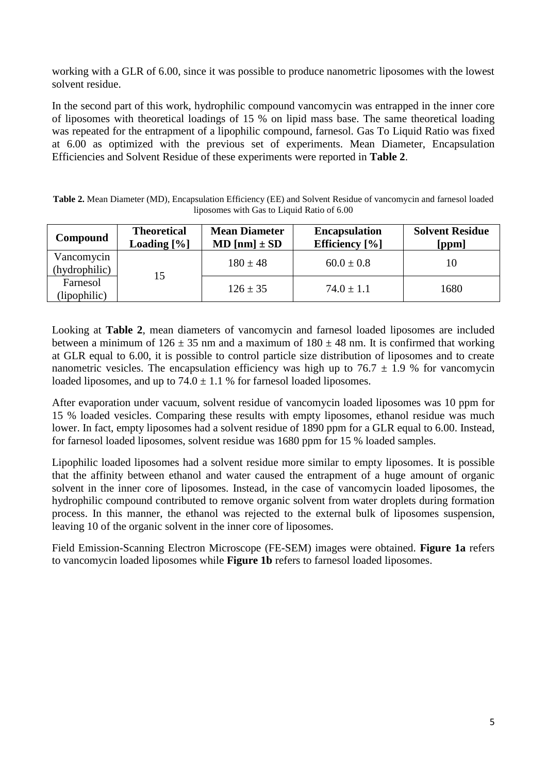working with a GLR of 6.00, since it was possible to produce nanometric liposomes with the lowest solvent residue.

In the second part of this work, hydrophilic compound vancomycin was entrapped in the inner core of liposomes with theoretical loadings of 15 % on lipid mass base. The same theoretical loading was repeated for the entrapment of a lipophilic compound, farnesol. Gas To Liquid Ratio was fixed at 6.00 as optimized with the previous set of experiments. Mean Diameter, Encapsulation Efficiencies and Solvent Residue of these experiments were reported in **Table 2**.

**Table 2.** Mean Diameter (MD), Encapsulation Efficiency (EE) and Solvent Residue of vancomycin and farnesol loaded liposomes with Gas to Liquid Ratio of 6.00

| Compound                    | <b>Theoretical</b><br>Loading $[\%]$ | <b>Mean Diameter</b><br>$MD [nm] \pm SD$ | <b>Encapsulation</b><br>Efficiency $[\%]$ | <b>Solvent Residue</b><br>[ppm] |
|-----------------------------|--------------------------------------|------------------------------------------|-------------------------------------------|---------------------------------|
| Vancomycin<br>(hydrophilic) | 15                                   | $180 \pm 48$                             | $60.0 \pm 0.8$                            | 10                              |
| Farnesol<br>(lipophilic)    |                                      | $126 \pm 35$                             | $74.0 \pm 1.1$                            | 1680                            |

Looking at **Table 2**, mean diameters of vancomycin and farnesol loaded liposomes are included between a minimum of  $126 \pm 35$  nm and a maximum of  $180 \pm 48$  nm. It is confirmed that working at GLR equal to 6.00, it is possible to control particle size distribution of liposomes and to create nanometric vesicles. The encapsulation efficiency was high up to  $76.7 \pm 1.9$  % for vancomycin loaded liposomes, and up to  $74.0 \pm 1.1$  % for farnesol loaded liposomes.

After evaporation under vacuum, solvent residue of vancomycin loaded liposomes was 10 ppm for 15 % loaded vesicles. Comparing these results with empty liposomes, ethanol residue was much lower. In fact, empty liposomes had a solvent residue of 1890 ppm for a GLR equal to 6.00. Instead, for farnesol loaded liposomes, solvent residue was 1680 ppm for 15 % loaded samples.

Lipophilic loaded liposomes had a solvent residue more similar to empty liposomes. It is possible that the affinity between ethanol and water caused the entrapment of a huge amount of organic solvent in the inner core of liposomes. Instead, in the case of vancomycin loaded liposomes, the hydrophilic compound contributed to remove organic solvent from water droplets during formation process. In this manner, the ethanol was rejected to the external bulk of liposomes suspension, leaving 10 of the organic solvent in the inner core of liposomes.

Field Emission-Scanning Electron Microscope (FE-SEM) images were obtained. **Figure 1a** refers to vancomycin loaded liposomes while **Figure 1b** refers to farnesol loaded liposomes.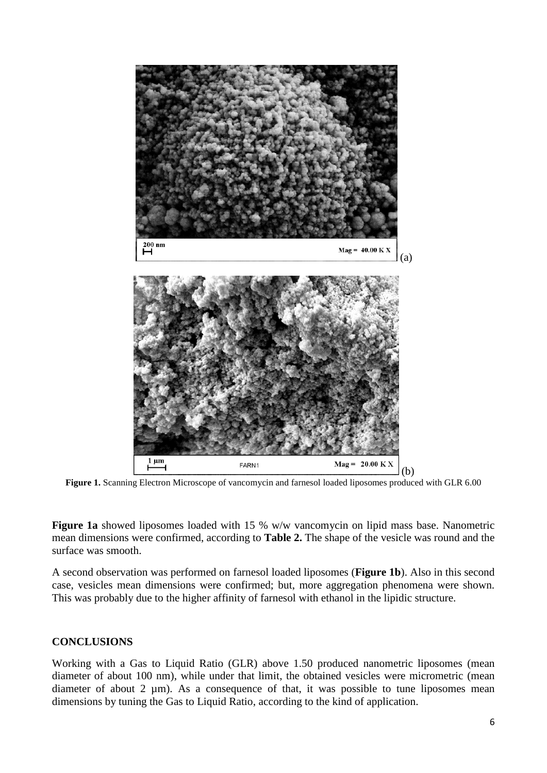

**Figure 1.** Scanning Electron Microscope of vancomycin and farnesol loaded liposomes produced with GLR 6.00

**Figure 1a** showed liposomes loaded with 15 % w/w vancomycin on lipid mass base. Nanometric mean dimensions were confirmed, according to **Table 2.** The shape of the vesicle was round and the surface was smooth.

A second observation was performed on farnesol loaded liposomes (**Figure 1b**). Also in this second case, vesicles mean dimensions were confirmed; but, more aggregation phenomena were shown. This was probably due to the higher affinity of farnesol with ethanol in the lipidic structure.

# **CONCLUSIONS**

Working with a Gas to Liquid Ratio (GLR) above 1.50 produced nanometric liposomes (mean diameter of about 100 nm), while under that limit, the obtained vesicles were micrometric (mean diameter of about 2  $\mu$ m). As a consequence of that, it was possible to tune liposomes mean dimensions by tuning the Gas to Liquid Ratio, according to the kind of application.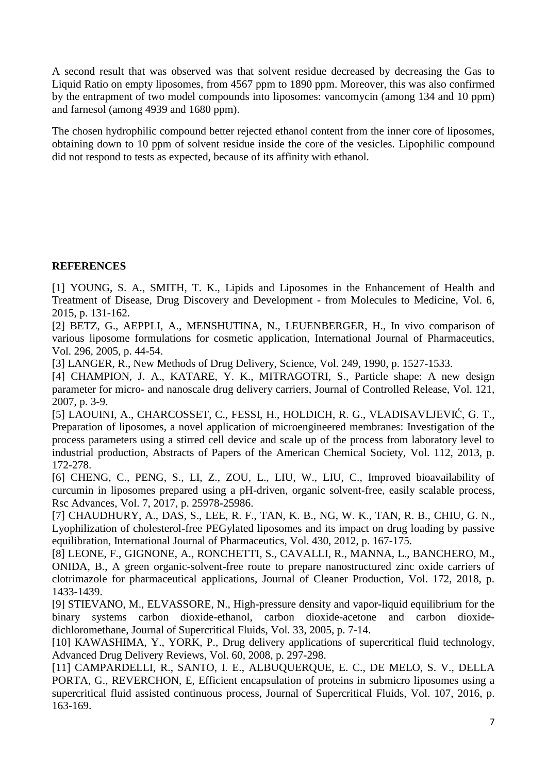A second result that was observed was that solvent residue decreased by decreasing the Gas to Liquid Ratio on empty liposomes, from 4567 ppm to 1890 ppm. Moreover, this was also confirmed by the entrapment of two model compounds into liposomes: vancomycin (among 134 and 10 ppm) and farnesol (among 4939 and 1680 ppm).

The chosen hydrophilic compound better rejected ethanol content from the inner core of liposomes, obtaining down to 10 ppm of solvent residue inside the core of the vesicles. Lipophilic compound did not respond to tests as expected, because of its affinity with ethanol.

# **REFERENCES**

<span id="page-6-0"></span>[1] YOUNG, S. A., SMITH, T. K., Lipids and Liposomes in the Enhancement of Health and Treatment of Disease, Drug Discovery and Development - from Molecules to Medicine, Vol. 6, 2015, p. 131-162.

<span id="page-6-1"></span>[2] BETZ, G., AEPPLI, A., MENSHUTINA, N., LEUENBERGER, H., In vivo comparison of various liposome formulations for cosmetic application, International Journal of Pharmaceutics, Vol. 296, 2005, p. 44-54.

<span id="page-6-2"></span>[3] LANGER, R., New Methods of Drug Delivery, Science, Vol. 249, 1990, p. 1527-1533.

<span id="page-6-3"></span>[4] CHAMPION, J. A., KATARE, Y. K., MITRAGOTRI, S., Particle shape: A new design parameter for micro- and nanoscale drug delivery carriers, Journal of Controlled Release, Vol. 121, 2007, p. 3-9.

<span id="page-6-4"></span>[5] LAOUINI, A., CHARCOSSET, C., FESSI, H., HOLDICH, R. G., VLADISAVLJEVIĆ, G. T., Preparation of liposomes, a novel application of microengineered membranes: Investigation of the process parameters using a stirred cell device and scale up of the process from laboratory level to industrial production, Abstracts of Papers of the American Chemical Society, Vol. 112, 2013, p. 172-278.

<span id="page-6-5"></span>[6] CHENG, C., PENG, S., LI, Z., ZOU, L., LIU, W., LIU, C., Improved bioavailability of curcumin in liposomes prepared using a pH-driven, organic solvent-free, easily scalable process, Rsc Advances, Vol. 7, 2017, p. 25978-25986.

<span id="page-6-6"></span>[7] CHAUDHURY, A., DAS, S., LEE, R. F., TAN, K. B., NG, W. K., TAN, R. B., CHIU, G. N., Lyophilization of cholesterol-free PEGylated liposomes and its impact on drug loading by passive equilibration, International Journal of Pharmaceutics, Vol. 430, 2012, p. 167-175.

<span id="page-6-7"></span>[8] LEONE, F., GIGNONE, A., RONCHETTI, S., CAVALLI, R., MANNA, L., BANCHERO, M., ONIDA, B., A green organic-solvent-free route to prepare nanostructured zinc oxide carriers of clotrimazole for pharmaceutical applications, Journal of Cleaner Production, Vol. 172, 2018, p. 1433-1439.

<span id="page-6-8"></span>[9] STIEVANO, M., ELVASSORE, N., High-pressure density and vapor-liquid equilibrium for the binary systems carbon dioxide-ethanol, carbon dioxide-acetone and carbon dioxidedichloromethane, Journal of Supercritical Fluids, Vol. 33, 2005, p. 7-14.

<span id="page-6-9"></span>[10] KAWASHIMA, Y., YORK, P., Drug delivery applications of supercritical fluid technology, Advanced Drug Delivery Reviews, Vol. 60, 2008, p. 297-298.

<span id="page-6-10"></span>[11] CAMPARDELLI, R., SANTO, I. E., ALBUQUERQUE, E. C., DE MELO, S. V., DELLA PORTA, G., REVERCHON, E, Efficient encapsulation of proteins in submicro liposomes using a supercritical fluid assisted continuous process, Journal of Supercritical Fluids, Vol. 107, 2016, p. 163-169.